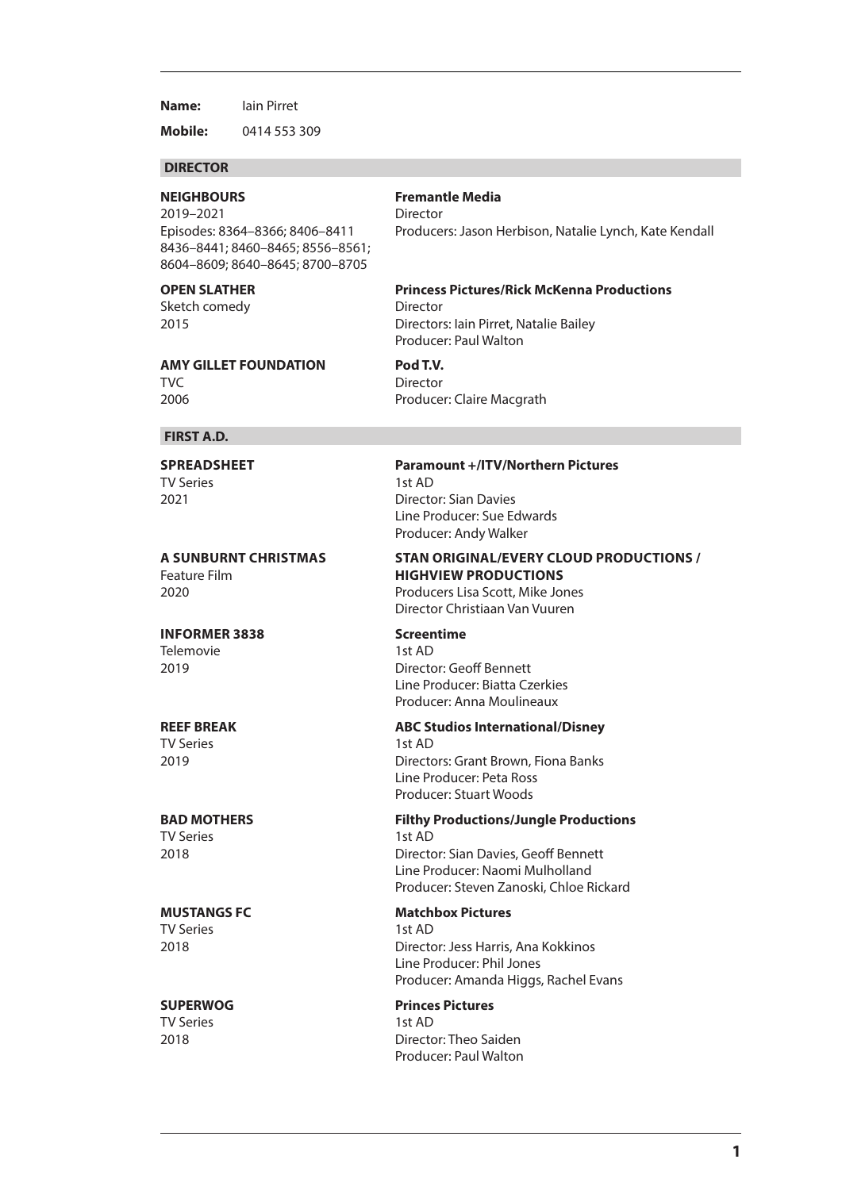**Name:** Iain Pirret

**Mobile:** 0414 553 309

## **DIRECTOR**

**NEIGHBOURS Fremantle Media** 2019–2021 Director 8436–8441; 8460–8465; 8556–8561; 8604–8609; 8640–8645; 8700–8705

Sketch comedy **Director** 

Episodes: 8364–8366; 8406–8411 Producers: Jason Herbison, Natalie Lynch, Kate Kendall

## **OPEN SLATHER Princess Pictures/Rick McKenna Productions** 2015 Directors: Iain Pirret, Natalie Bailey

**AMY GILLET FOUNDATION Pod T.V.** TVC Director

2006 Producer: Claire Macgrath

Producer: Paul Walton

### **FIRST A.D.**

TV Series 1st AD

2020 Producers Lisa Scott, Mike Jones

**INFORMER 3838 Screentime**

Telemovie 1st AD

# TV Series 1st AD

TV Series 1st AD

TV Series 1st AD

## **SPREADSHEET Paramount +/ITV/Northern Pictures** 2021 Director: Sian Davies Line Producer: Sue Edwards Producer: Andy Walker

## **A SUNBURNT CHRISTMAS STAN ORIGINAL/EVERY CLOUD PRODUCTIONS /** Feature Film **HIGHVIEW PRODUCTIONS**

Director Christiaan Van Vuuren

2019 Director: Geoff Bennett Line Producer: Biatta Czerkies Producer: Anna Moulineaux

## **REEF BREAK ABC Studios International/Disney**

2019 Directors: Grant Brown, Fiona Banks Line Producer: Peta Ross Producer: Stuart Woods

## **BAD MOTHERS Filthy Productions/Jungle Productions** TV Series 1st AD

2018 Director: Sian Davies, Geoff Bennett Line Producer: Naomi Mulholland Producer: Steven Zanoski, Chloe Rickard

## **MUSTANGS FC Matchbox Pictures**

2018 Director: Jess Harris, Ana Kokkinos Line Producer: Phil Jones Producer: Amanda Higgs, Rachel Evans

## **SUPERWOG Princes Pictures**

2018 Director: Theo Saiden Producer: Paul Walton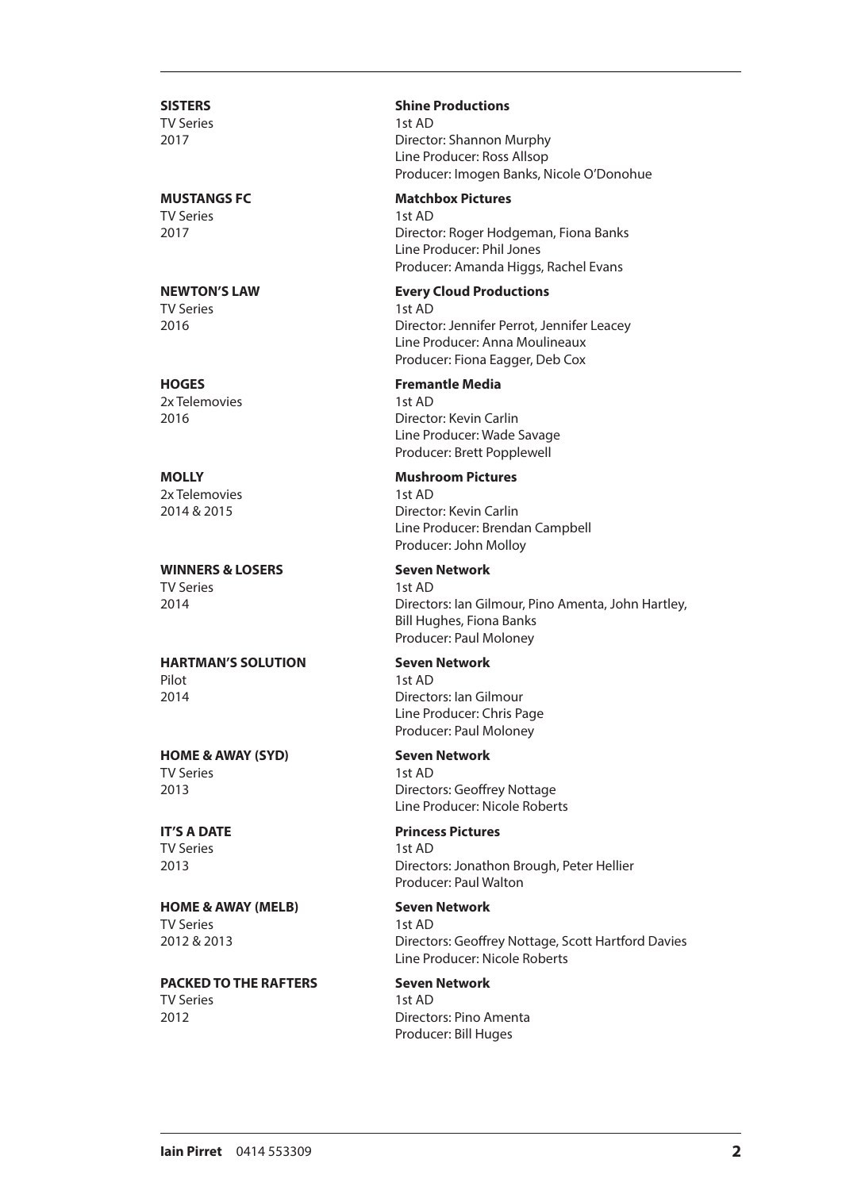# TV Series 1st AD

TV Series 1st AD

## TV Series 1st AD

2x Telemovies 2x 1st AD

2x Telemovies 1st AD

## **WINNERS & LOSERS** Seven Network TV Series 1st AD

## **HARTMAN'S SOLUTION Seven Network** Pilot 1st AD 2014 Directors: Ian Gilmour

**HOME & AWAY (SYD) Seven Network** TV Series 1st AD

# TV Series 1st AD

**HOME & AWAY (MELB) Seven Network** TV Series 1st AD

**PACKED TO THE RAFTERS Seven Network** TV Series 1st AD 2012 Directors: Pino Amenta

## **SISTERS Shine Productions**

2017 Director: Shannon Murphy Line Producer: Ross Allsop Producer: Imogen Banks, Nicole O'Donohue

## **MUSTANGS FC Matchbox Pictures**

2017 Director: Roger Hodgeman, Fiona Banks Line Producer: Phil Jones Producer: Amanda Higgs, Rachel Evans

## **NEWTON'S LAW Every Cloud Productions**

2016 Director: Jennifer Perrot, Jennifer Leacey Line Producer: Anna Moulineaux Producer: Fiona Eagger, Deb Cox

## **HOGES Fremantle Media**

2016 Director: Kevin Carlin Line Producer: Wade Savage Producer: Brett Popplewell

## **MOLLY Mushroom Pictures**

2014 & 2015 Director: Kevin Carlin Line Producer: Brendan Campbell Producer: John Molloy

2014 Directors: Ian Gilmour, Pino Amenta, John Hartley, Bill Hughes, Fiona Banks Producer: Paul Moloney

Line Producer: Chris Page Producer: Paul Moloney

2013 Directors: Geoffrey Nottage Line Producer: Nicole Roberts

## **IT'S A DATE Princess Pictures**

2013 Directors: Jonathon Brough, Peter Hellier Producer: Paul Walton

2012 & 2013 Directors: Geoffrey Nottage, Scott Hartford Davies Line Producer: Nicole Roberts

# Producer: Bill Huges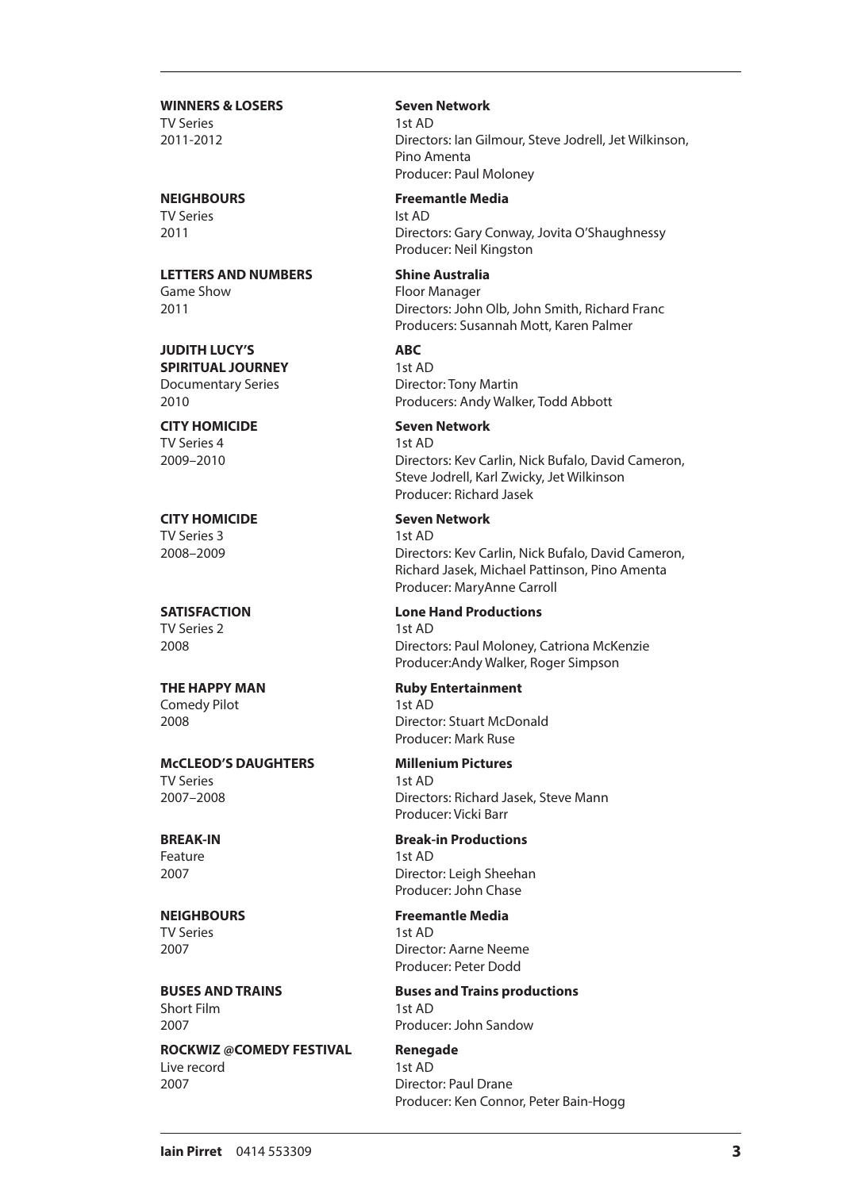**WINNERS & LOSERS** Seven Network TV Series 1st AD

TV Series Ist AD

**LETTERS AND NUMBERS Shine Australia** Game Show **Floor Manager** 

**JUDITH LUCY'S ABC SPIRITUAL JOURNEY** 1st AD Documentary Series Director: Tony Martin

TV Series 4 1st AD

TV Series 3 1st AD

TV Series 2 1st AD

Comedy Pilot 1st AD

**McCLEOD'S DAUGHTERS Millenium Pictures** TV Series 1st AD

Feature 1st AD

TV Series 1st AD

Short Film 1st AD

**ROCKWIZ @COMEDY FESTIVAL Renegade** Live record 1st AD 2007 Director: Paul Drane

2011-2012 Directors: Ian Gilmour, Steve Jodrell, Jet Wilkinson, Pino Amenta Producer: Paul Moloney

**NEIGHBOURS Freemantle Media**

2011 Directors: Gary Conway, Jovita O'Shaughnessy Producer: Neil Kingston

2011 Directors: John Olb, John Smith, Richard Franc Producers: Susannah Mott, Karen Palmer

2010 Producers: Andy Walker, Todd Abbott

**CITY HOMICIDE Seven Network** 2009–2010 Directors: Kev Carlin, Nick Bufalo, David Cameron, Steve Jodrell, Karl Zwicky, Jet Wilkinson Producer: Richard Jasek

**CITY HOMICIDE Seven Network** 2008–2009 Directors: Kev Carlin, Nick Bufalo, David Cameron, Richard Jasek, Michael Pattinson, Pino Amenta Producer: MaryAnne Carroll

**SATISFACTION Lone Hand Productions** 2008 Directors: Paul Moloney, Catriona McKenzie Producer:Andy Walker, Roger Simpson

**THE HAPPY MAN Ruby Entertainment** 2008 Director: Stuart McDonald Producer: Mark Ruse

2007–2008 Directors: Richard Jasek, Steve Mann Producer: Vicki Barr

**BREAK-IN Break-in Productions** 2007 Director: Leigh Sheehan Producer: John Chase

**NEIGHBOURS Freemantle Media** 2007 Director: Aarne Neeme Producer: Peter Dodd

**BUSES AND TRAINS Buses and Trains productions** 2007 Producer: John Sandow

Producer: Ken Connor, Peter Bain-Hogg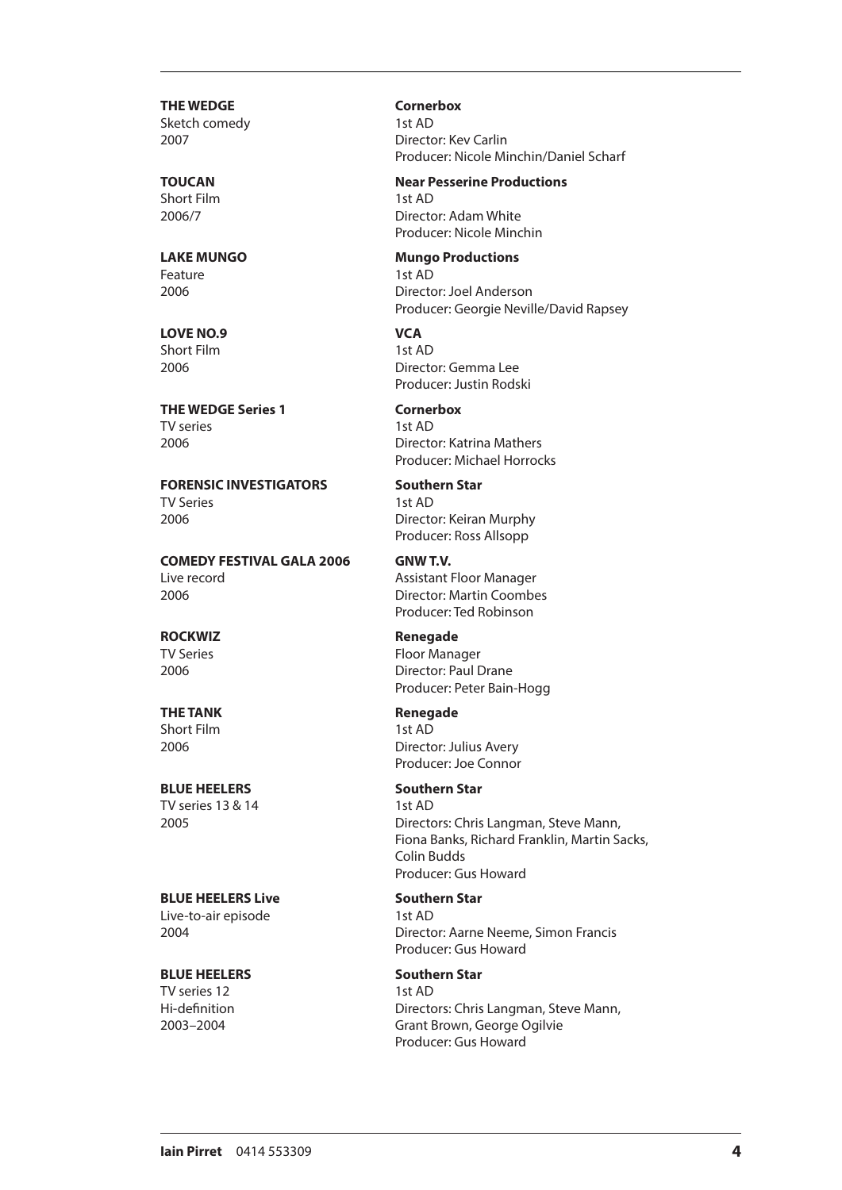**THE WEDGE Cornerbox** Sketch comedy 1st AD

Short Film 1st AD

Feature 1st AD

**LOVE NO.9 VCA** Short Film<br>2006

**THE WEDGE Series 1 Cornerbox** TV series 1st AD

**FORENSIC INVESTIGATORS Southern Star**<br>TV Series<br>1st AD **TV Series** 2006 Director: Keiran Murphy

**COMEDY FESTIVAL GALA 2006 GNW T.V.** Live record **Assistant Floor Manager** 2006 Director: Martin Coombes

Short Film 1st AD

TV series 13 & 14 1st AD

## **BLUE HEELERS Live Southern Star**

Live-to-air episode 1st AD

## **BLUE HEELERS Southern Star**

TV series 12 1st AD

2007 Director: Kev Carlin Producer: Nicole Minchin/Daniel Scharf

## **TOUCAN Near Pesserine Productions**

2006/7 Director: Adam White Producer: Nicole Minchin

## **LAKE MUNGO Mungo Productions**

2006 Director: Joel Anderson Producer: Georgie Neville/David Rapsey

Director: Gemma Lee Producer: Justin Rodski

2006 Director: Katrina Mathers Producer: Michael Horrocks

Producer: Ross Allsopp

Producer: Ted Robinson

**ROCKWIZ Renegade** TV Series Floor Manager 2006 Director: Paul Drane Producer: Peter Bain-Hogg

**THE TANK Renegade** 2006 Director: Julius Avery Producer: Joe Connor

**BLUE HEELERS Southern Star** 2005 Directors: Chris Langman, Steve Mann, Fiona Banks, Richard Franklin, Martin Sacks, Colin Budds Producer: Gus Howard

2004 Director: Aarne Neeme, Simon Francis Producer: Gus Howard

Hi-definition Directors: Chris Langman, Steve Mann, 2003–2004 Grant Brown, George Ogilvie Producer: Gus Howard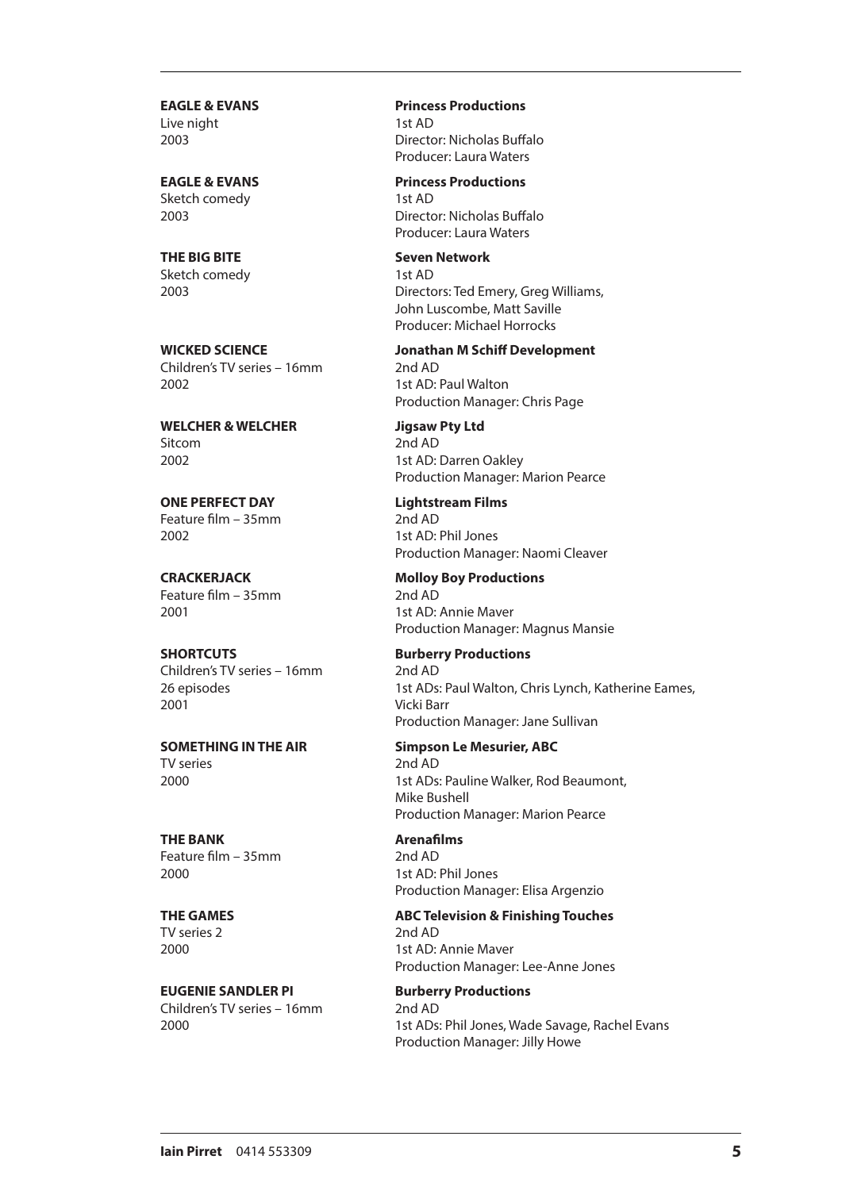Live night 1st AD

Sketch comedy 1st AD

**THE BIG BITE Seven Network** Sketch comedy 1st AD

Children's TV series – 16mm 2nd AD 2002 1st AD: Paul Walton

**WELCHER & WELCHER Jigsaw Pty Ltd** Sitcom 2nd AD 2002 1st AD: Darren Oakley

**ONE PERFECT DAY Lightstream Films**<br>
Feature film – 35mm<br>
2nd AD Feature film –  $35mm$ 2002 1st AD: Phil Jones

Feature film – 35mm<br>
2nd AD

**SHORTCUTS Burberry Productions** Children's TV series – 16mm 2nd AD 2001 Vicki Barr

TV series 2nd AD

**THE BANK Arenafilms** Feature film – 35mm<br>
2nd AD 2000 1st AD: Phil Jones

TV series 2 2nd AD

**EUGENIE SANDLER PI Burberry Productions** Children's TV series – 16mm 2nd AD

**EAGLE & EVANS Princess Productions** 2003 Director: Nicholas Buffalo Producer: Laura Waters

**EAGLE & EVANS Princess Productions** 2003 Director: Nicholas Buffalo Producer: Laura Waters

2003 Directors: Ted Emery, Greg Williams, John Luscombe, Matt Saville Producer: Michael Horrocks

**WICKED SCIENCE Jonathan M Schiff Development** Production Manager: Chris Page

Production Manager: Marion Pearce

Production Manager: Naomi Cleaver

**CRACKERJACK Molloy Boy Productions** 2001 1st AD: Annie Maver Production Manager: Magnus Mansie

26 episodes 1st ADs: Paul Walton, Chris Lynch, Katherine Eames, Production Manager: Jane Sullivan

**SOMETHING IN THE AIR Simpson Le Mesurier, ABC** 2000 1st ADs: Pauline Walker, Rod Beaumont, Mike Bushell Production Manager: Marion Pearce

Production Manager: Elisa Argenzio

**THE GAMES ABC Television & Finishing Touches** 2000 1st AD: Annie Maver Production Manager: Lee-Anne Jones

2000 1st ADs: Phil Jones, Wade Savage, Rachel Evans Production Manager: Jilly Howe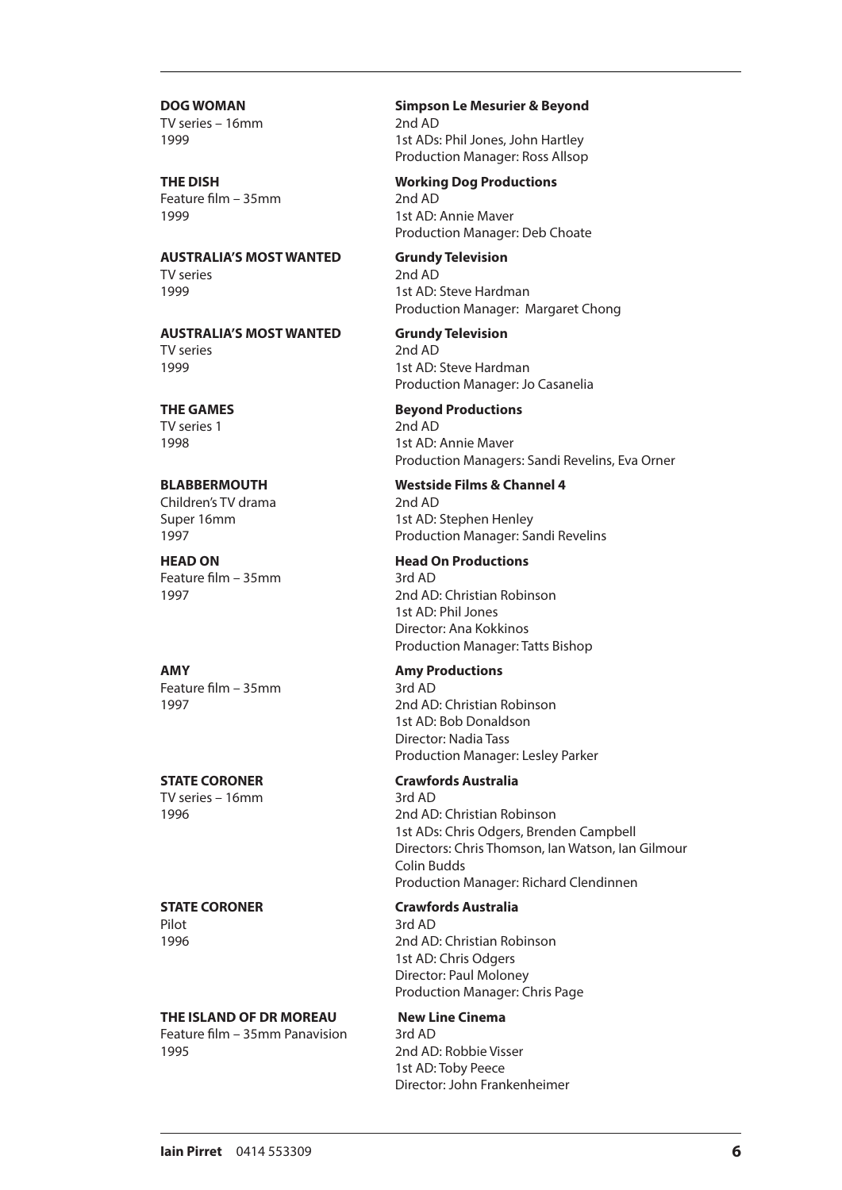TV series – 16mm 2nd AD

Feature film – 35mm 2nd AD 1999 1st AD: Annie Maver

**AUSTRALIA'S MOST WANTED Grundy Television** TV series 2nd AD 1999 1st AD: Steve Hardman

**AUSTRALIA'S MOST WANTED Grundy Television**  $T$ V series 2nd AD 2nd AD  $1999$ 

TV series 1 2nd AD

## **BLABBERMOUTH**<br>
Children's TV drama<br>
2nd AD<br>
2nd AD Children's TV drama

Feature film – 35mm 3rd AD

**AMY Amy Productions** Feature film – 35mm 3rd AD

TV series – 16mm 3rd AD

**THE ISLAND OF DR MOREAU New Line Cinema** 

Feature film – 35mm Panavision 3rd AD 1995 2nd AD: Robbie Visser

**DOG WOMAN Simpson Le Mesurier & Beyond** 1999 1st ADs: Phil Jones, John Hartley Production Manager: Ross Allsop

## **THE DISH Working Dog Productions**

Production Manager: Deb Choate

Production Manager: Margaret Chong

1st AD: Steve Hardman Production Manager: Jo Casanelia

## **THE GAMES Beyond Productions**

1998 1st AD: Annie Maver Production Managers: Sandi Revelins, Eva Orner

Super 16mm 1st AD: Stephen Henley 1997 Production Manager: Sandi Revelins

## **HEAD ON Head On Productions**

1997 2nd AD: Christian Robinson 1st AD: Phil Jones Director: Ana Kokkinos Production Manager: Tatts Bishop

1997 2nd AD: Christian Robinson 1st AD: Bob Donaldson Director: Nadia Tass Production Manager: Lesley Parker

## **STATE CORONER Crawfords Australia**

1996 2nd AD: Christian Robinson 1st ADs: Chris Odgers, Brenden Campbell Directors: Chris Thomson, Ian Watson, Ian Gilmour Colin Budds Production Manager: Richard Clendinnen

## **STATE CORONER Crawfords Australia**

Pilot 3rd AD 1996 2nd AD: Christian Robinson 1st AD: Chris Odgers Director: Paul Moloney Production Manager: Chris Page

1st AD: Toby Peece Director: John Frankenheimer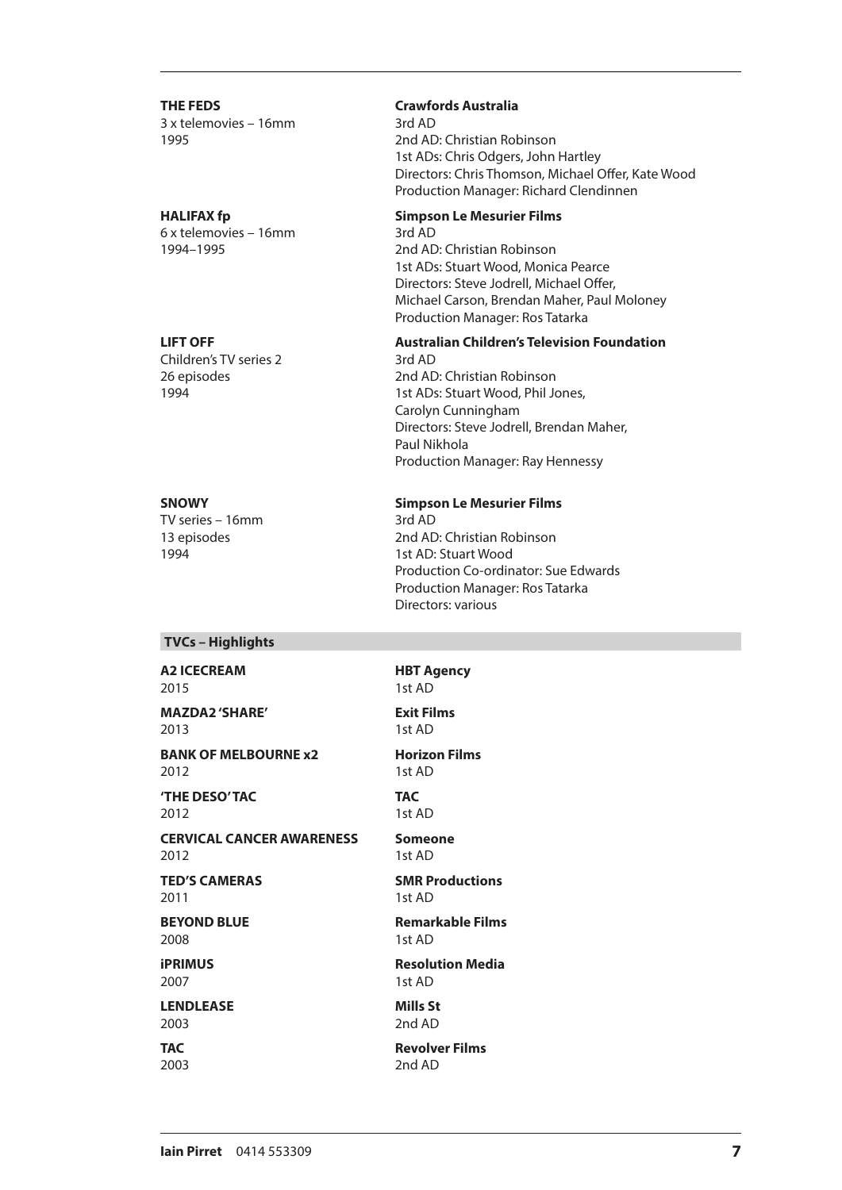**THE FEDS Crawfords Australia** 3 x telemovies – 16mm 3rd AD

6 x telemovies – 16mm 3rd AD

Children's TV series 2 3rd AD

TV series  $-16$ mm

1995 2nd AD: Christian Robinson 1st ADs: Chris Odgers, John Hartley Directors: Chris Thomson, Michael Offer, Kate Wood Production Manager: Richard Clendinnen

## **HALIFAX fp Simpson Le Mesurier Films**

1994–1995 2nd AD: Christian Robinson 1st ADs: Stuart Wood, Monica Pearce Directors: Steve Jodrell, Michael Offer, Michael Carson, Brendan Maher, Paul Moloney Production Manager: Ros Tatarka

## **LIFT OFF Australian Children's Television Foundation**

26 episodes 2nd AD: Christian Robinson 1994 1st ADs: Stuart Wood, Phil Jones, Carolyn Cunningham Directors: Steve Jodrell, Brendan Maher, Paul Nikhola Production Manager: Ray Hennessy

## **SNOWY Simpson Le Mesurier Films**

13 episodes 1994<br>1994 **1994** 2nd AD: Christian Robinson<br>1994 1st AD: Stuart Wood Production Co-ordinator: Sue Edwards Production Manager: Ros Tatarka Directors: various

**TVCs – Highlights**

### **A2 ICECREAM HBT Agency** 2015 1st AD

**MAZDA2 'SHARE' Exit Films**

**BANK OF MELBOURNE x2 Horizon Films** 2012 1st AD

**'THE DESO' TAC TAC** 2012 1st AD

**CERVICAL CANCER AWARENESS Someone**

2012 1st AD

2011 1st AD

**BEYOND BLUE Remarkable Films** 2008 1st AD

2007 1st AD

**LENDLEASE Mills St** 2003 2nd AD

2013 1st AD

**TED'S CAMERAS SMR Productions**

**iPRIMUS Resolution Media**

**TAC Revolver Films** 2003 2nd AD